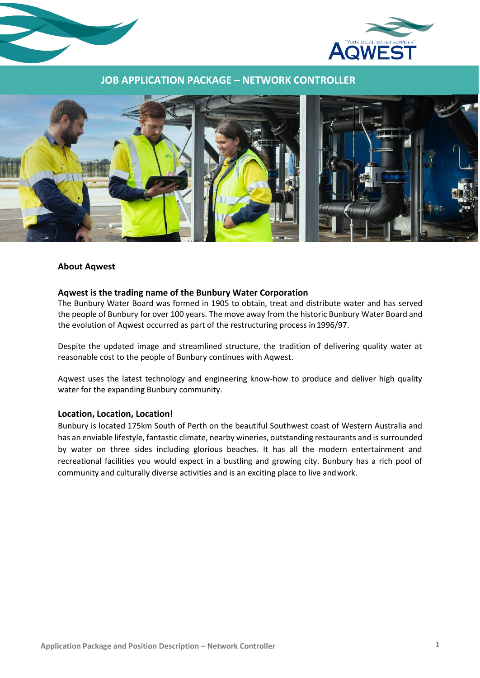



## **JOB APPLICATION PACKAGE – NETWORK CONTROLLER**



#### **About Aqwest**

#### **Aqwest is the trading name of the Bunbury Water Corporation**

The Bunbury Water Board was formed in 1905 to obtain, treat and distribute water and has served the people of Bunbury for over 100 years. The move away from the historic Bunbury Water Board and the evolution of Aqwest occurred as part of the restructuring process in1996/97.

Despite the updated image and streamlined structure, the tradition of delivering quality water at reasonable cost to the people of Bunbury continues with Aqwest.

Aqwest uses the latest technology and engineering know-how to produce and deliver high quality water for the expanding Bunbury community.

#### **Location, Location, Location!**

Bunbury is located 175km South of Perth on the beautiful Southwest coast of Western Australia and has an enviable lifestyle, fantastic climate, nearby wineries, outstanding restaurants and is surrounded by water on three sides including glorious beaches. It has all the modern entertainment and recreational facilities you would expect in a bustling and growing city. Bunbury has a rich pool of community and culturally diverse activities and is an exciting place to live andwork.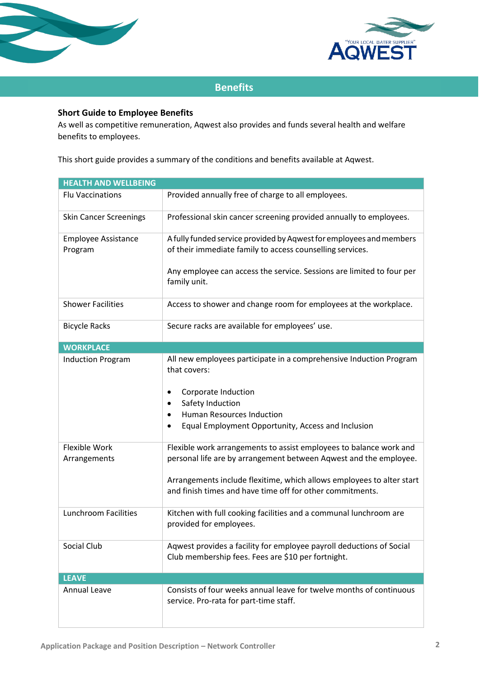



# **Benefits**

# **Short Guide to Employee Benefits**

As well as competitive remuneration, Aqwest also provides and funds several health and welfare benefits to employees.

This short guide provides a summary of the conditions and benefits available at Aqwest.

| <b>HEALTH AND WELLBEING</b>           |                                                                                                                                                                                                                                                                               |  |
|---------------------------------------|-------------------------------------------------------------------------------------------------------------------------------------------------------------------------------------------------------------------------------------------------------------------------------|--|
| <b>Flu Vaccinations</b>               | Provided annually free of charge to all employees.                                                                                                                                                                                                                            |  |
| <b>Skin Cancer Screenings</b>         | Professional skin cancer screening provided annually to employees.                                                                                                                                                                                                            |  |
| <b>Employee Assistance</b><br>Program | A fully funded service provided by Aqwest for employees and members<br>of their immediate family to access counselling services.<br>Any employee can access the service. Sessions are limited to four per<br>family unit.                                                     |  |
| <b>Shower Facilities</b>              | Access to shower and change room for employees at the workplace.                                                                                                                                                                                                              |  |
| <b>Bicycle Racks</b>                  | Secure racks are available for employees' use.                                                                                                                                                                                                                                |  |
| <b>WORKPLACE</b>                      |                                                                                                                                                                                                                                                                               |  |
| <b>Induction Program</b>              | All new employees participate in a comprehensive Induction Program<br>that covers:<br>Corporate Induction<br>٠<br>Safety Induction<br><b>Human Resources Induction</b><br>Equal Employment Opportunity, Access and Inclusion                                                  |  |
| Flexible Work<br>Arrangements         | Flexible work arrangements to assist employees to balance work and<br>personal life are by arrangement between Aqwest and the employee.<br>Arrangements include flexitime, which allows employees to alter start<br>and finish times and have time off for other commitments. |  |
| <b>Lunchroom Facilities</b>           | Kitchen with full cooking facilities and a communal lunchroom are<br>provided for employees.                                                                                                                                                                                  |  |
| Social Club                           | Aqwest provides a facility for employee payroll deductions of Social<br>Club membership fees. Fees are \$10 per fortnight.                                                                                                                                                    |  |
| <b>LEAVE</b>                          |                                                                                                                                                                                                                                                                               |  |
| <b>Annual Leave</b>                   | Consists of four weeks annual leave for twelve months of continuous<br>service. Pro-rata for part-time staff.                                                                                                                                                                 |  |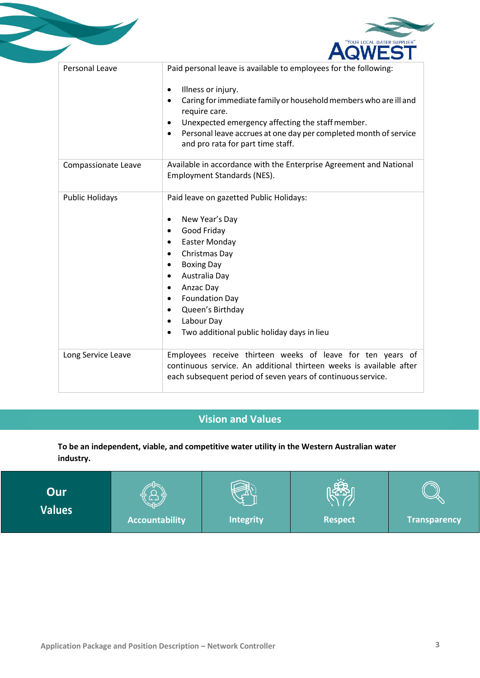

| Personal Leave         | Paid personal leave is available to employees for the following:<br>Illness or injury.<br>$\bullet$<br>Caring for immediate family or household members who are ill and<br>$\bullet$<br>require care.<br>Unexpected emergency affecting the staff member.<br>$\bullet$<br>Personal leave accrues at one day per completed month of service<br>$\bullet$<br>and pro rata for part time staff.       |
|------------------------|----------------------------------------------------------------------------------------------------------------------------------------------------------------------------------------------------------------------------------------------------------------------------------------------------------------------------------------------------------------------------------------------------|
| Compassionate Leave    | Available in accordance with the Enterprise Agreement and National<br>Employment Standards (NES).                                                                                                                                                                                                                                                                                                  |
| <b>Public Holidays</b> | Paid leave on gazetted Public Holidays:<br>New Year's Day<br>$\bullet$<br>Good Friday<br>$\bullet$<br><b>Easter Monday</b><br>Christmas Day<br>$\bullet$<br><b>Boxing Day</b><br>$\bullet$<br>Australia Day<br>$\bullet$<br>Anzac Day<br>$\bullet$<br><b>Foundation Day</b><br>$\bullet$<br>Queen's Birthday<br>Labour Day<br>$\bullet$<br>Two additional public holiday days in lieu<br>$\bullet$ |
| Long Service Leave     | Employees receive thirteen weeks of leave for ten years of<br>continuous service. An additional thirteen weeks is available after<br>each subsequent period of seven years of continuous service.                                                                                                                                                                                                  |

# **Vision and Values**

**To be an independent, viable, and competitive water utility in the Western Australian water industry.**

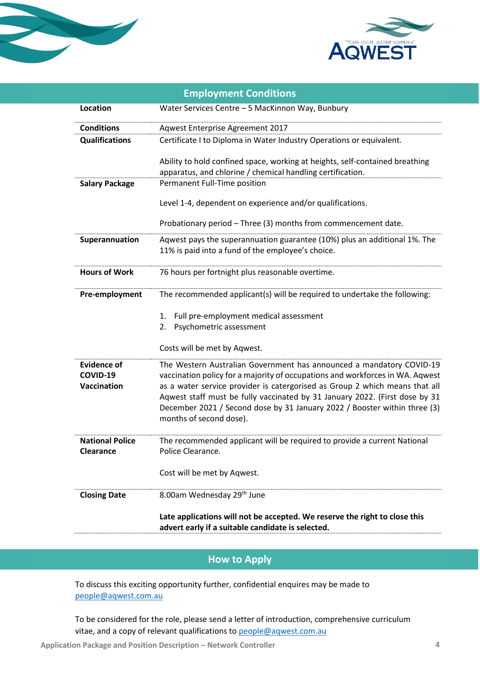



| <b>Employment Conditions</b>                  |                                                                                                                                                                                                                                                                                                                                                                                                                             |  |
|-----------------------------------------------|-----------------------------------------------------------------------------------------------------------------------------------------------------------------------------------------------------------------------------------------------------------------------------------------------------------------------------------------------------------------------------------------------------------------------------|--|
| Location                                      | Water Services Centre - 5 MacKinnon Way, Bunbury                                                                                                                                                                                                                                                                                                                                                                            |  |
| <b>Conditions</b>                             | Aqwest Enterprise Agreement 2017                                                                                                                                                                                                                                                                                                                                                                                            |  |
| <b>Qualifications</b>                         | Certificate I to Diploma in Water Industry Operations or equivalent.                                                                                                                                                                                                                                                                                                                                                        |  |
|                                               | Ability to hold confined space, working at heights, self-contained breathing<br>apparatus, and chlorine / chemical handling certification.                                                                                                                                                                                                                                                                                  |  |
| <b>Salary Package</b>                         | Permanent Full-Time position                                                                                                                                                                                                                                                                                                                                                                                                |  |
|                                               | Level 1-4, dependent on experience and/or qualifications.                                                                                                                                                                                                                                                                                                                                                                   |  |
|                                               | Probationary period - Three (3) months from commencement date.                                                                                                                                                                                                                                                                                                                                                              |  |
| Superannuation                                | Aqwest pays the superannuation guarantee (10%) plus an additional 1%. The<br>11% is paid into a fund of the employee's choice.                                                                                                                                                                                                                                                                                              |  |
| <b>Hours of Work</b>                          | 76 hours per fortnight plus reasonable overtime.                                                                                                                                                                                                                                                                                                                                                                            |  |
| Pre-employment                                | The recommended applicant(s) will be required to undertake the following:                                                                                                                                                                                                                                                                                                                                                   |  |
|                                               | Full pre-employment medical assessment<br>1.<br>Psychometric assessment<br>2.                                                                                                                                                                                                                                                                                                                                               |  |
|                                               | Costs will be met by Aqwest.                                                                                                                                                                                                                                                                                                                                                                                                |  |
| <b>Evidence of</b><br>COVID-19<br>Vaccination | The Western Australian Government has announced a mandatory COVID-19<br>vaccination policy for a majority of occupations and workforces in WA. Aqwest<br>as a water service provider is catergorised as Group 2 which means that all<br>Aqwest staff must be fully vaccinated by 31 January 2022. (First dose by 31<br>December 2021 / Second dose by 31 January 2022 / Booster within three (3)<br>months of second dose). |  |
| <b>National Police</b><br>Clearance           | The recommended applicant will be required to provide a current National<br>Police Clearance.                                                                                                                                                                                                                                                                                                                               |  |
|                                               | Cost will be met by Aqwest.                                                                                                                                                                                                                                                                                                                                                                                                 |  |
| <b>Closing Date</b>                           | 8.00am Wednesday 29th June                                                                                                                                                                                                                                                                                                                                                                                                  |  |
|                                               | Late applications will not be accepted. We reserve the right to close this<br>advert early if a suitable candidate is selected.                                                                                                                                                                                                                                                                                             |  |

# **How to Apply**

To discuss this exciting opportunity further, confidential enquires may be made to [people@aqwest.com.au](mailto:people@aqwest.com.au)

To be considered for the role, please send a letter of introduction, comprehensive curriculum vitae, and a copy of relevant qualifications t[o people@aqwest.com.au](mailto:people@aqwest.com.au)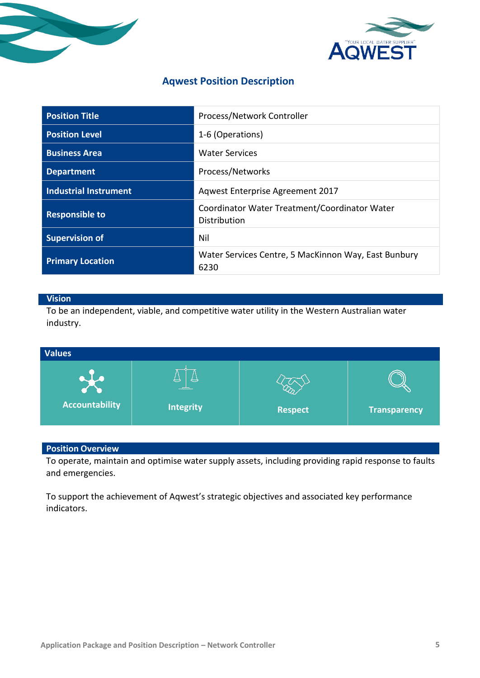



# **Aqwest Position Description**

| <b>Position Title</b>        | Process/Network Controller                                    |
|------------------------------|---------------------------------------------------------------|
| <b>Position Level</b>        | 1-6 (Operations)                                              |
| <b>Business Area</b>         | <b>Water Services</b>                                         |
| <b>Department</b>            | Process/Networks                                              |
| <b>Industrial Instrument</b> | Aqwest Enterprise Agreement 2017                              |
| <b>Responsible to</b>        | Coordinator Water Treatment/Coordinator Water<br>Distribution |
| <b>Supervision of</b>        | Nil                                                           |
| <b>Primary Location</b>      | Water Services Centre, 5 MacKinnon Way, East Bunbury<br>6230  |

# **Vision**

To be an independent, viable, and competitive water utility in the Western Australian water industry.



# **Position Overview**

To operate, maintain and optimise water supply assets, including providing rapid response to faults and emergencies.

To support the achievement of Aqwest's strategic objectives and associated key performance indicators.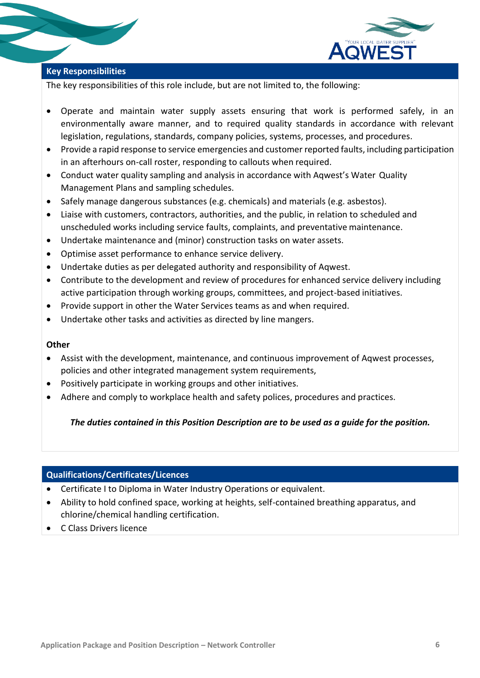

# **Key Responsibilities**

The key responsibilities of this role include, but are not limited to, the following:

- Operate and maintain water supply assets ensuring that work is performed safely, in an environmentally aware manner, and to required quality standards in accordance with relevant legislation, regulations, standards, company policies, systems, processes, and procedures.
- Provide a rapid response to service emergencies and customer reported faults, including participation in an afterhours on-call roster, responding to callouts when required.
- Conduct water quality sampling and analysis in accordance with Aqwest's Water Quality Management Plans and sampling schedules.
- Safely manage dangerous substances (e.g. chemicals) and materials (e.g. asbestos).
- Liaise with customers, contractors, authorities, and the public, in relation to scheduled and unscheduled works including service faults, complaints, and preventative maintenance.
- Undertake maintenance and (minor) construction tasks on water assets.
- Optimise asset performance to enhance service delivery.
- Undertake duties as per delegated authority and responsibility of Aqwest.
- Contribute to the development and review of procedures for enhanced service delivery including active participation through working groups, committees, and project-based initiatives.
- Provide support in other the Water Services teams as and when required.
- Undertake other tasks and activities as directed by line mangers.

#### **Other**

- Assist with the development, maintenance, and continuous improvement of Aqwest processes, policies and other integrated management system requirements,
- Positively participate in working groups and other initiatives.
- Adhere and comply to workplace health and safety polices, procedures and practices.

## *The duties contained in this Position Description are to be used as a guide for the position.*

## **Qualifications/Certificates/Licences**

- Certificate I to Diploma in Water Industry Operations or equivalent.
- Ability to hold confined space, working at heights, self-contained breathing apparatus, and chlorine/chemical handling certification.
- C Class Drivers licence